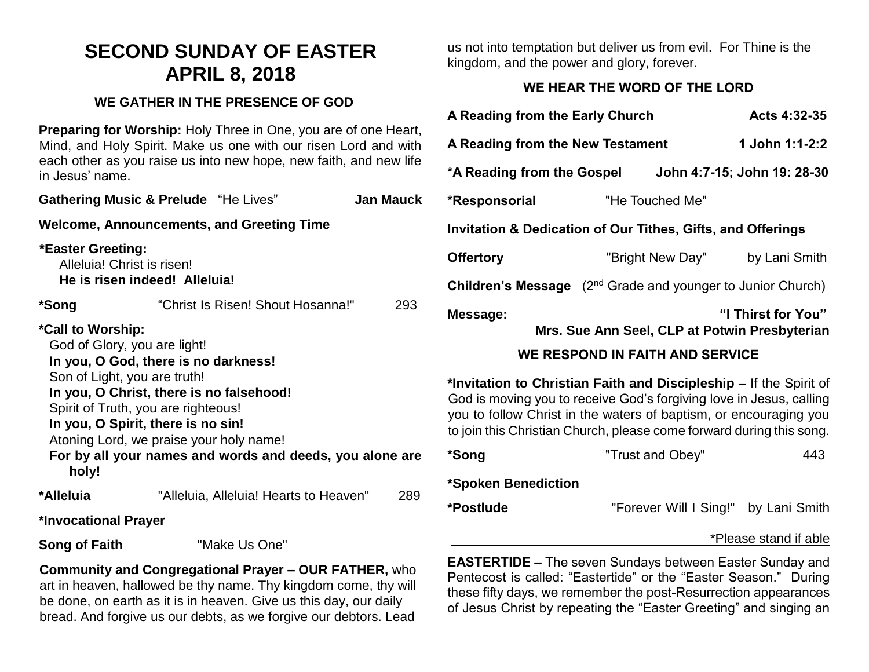# **SECOND SUNDAY OF EASTER APRIL 8, 2018**

#### **WE GATHER IN THE PRESENCE OF GOD**

**Preparing for Worship:** Holy Three in One, you are of one Heart, Mind, and Holy Spirit. Make us one with our risen Lord and with each other as you raise us into new hope, new faith, and new life in Jesus' name.

| <b>Gathering Music &amp; Prelude</b> "He Lives"                                                                                                                                                                                                                                                                                                                    |  |                                        | <b>Jan Mauck</b> |  |  |  |
|--------------------------------------------------------------------------------------------------------------------------------------------------------------------------------------------------------------------------------------------------------------------------------------------------------------------------------------------------------------------|--|----------------------------------------|------------------|--|--|--|
| Welcome, Announcements, and Greeting Time                                                                                                                                                                                                                                                                                                                          |  |                                        |                  |  |  |  |
| *Easter Greeting:<br>Alleluia! Christ is risen!<br>He is risen indeed! Alleluia!                                                                                                                                                                                                                                                                                   |  |                                        |                  |  |  |  |
| *Song                                                                                                                                                                                                                                                                                                                                                              |  | "Christ Is Risen! Shout Hosanna!"      | 293              |  |  |  |
| *Call to Worship:<br>God of Glory, you are light!<br>In you, O God, there is no darkness!<br>Son of Light, you are truth!<br>In you, O Christ, there is no falsehood!<br>Spirit of Truth, you are righteous!<br>In you, O Spirit, there is no sin!<br>Atoning Lord, we praise your holy name!<br>For by all your names and words and deeds, you alone are<br>holy! |  |                                        |                  |  |  |  |
| *Alleluia                                                                                                                                                                                                                                                                                                                                                          |  | "Alleluia, Alleluia! Hearts to Heaven" | 289              |  |  |  |
| *Invocational Prayer                                                                                                                                                                                                                                                                                                                                               |  |                                        |                  |  |  |  |
| Song of Faith                                                                                                                                                                                                                                                                                                                                                      |  | "Make Us One"                          |                  |  |  |  |

**Community and Congregational Prayer – OUR FATHER,** who art in heaven, hallowed be thy name. Thy kingdom come, thy will be done, on earth as it is in heaven. Give us this day, our daily bread. And forgive us our debts, as we forgive our debtors. Lead us not into temptation but deliver us from evil. For Thine is the kingdom, and the power and glory, forever.

## **WE HEAR THE WORD OF THE LORD**

| A Reading from the Early Church                                                |  |                  | Acts 4:32-35                                                        |  |
|--------------------------------------------------------------------------------|--|------------------|---------------------------------------------------------------------|--|
| A Reading from the New Testament                                               |  |                  | 1 John 1:1-2:2                                                      |  |
| *A Reading from the Gospel                                                     |  |                  | John 4:7-15; John 19: 28-30                                         |  |
| *Responsorial                                                                  |  | "He Touched Me"  |                                                                     |  |
| Invitation & Dedication of Our Tithes, Gifts, and Offerings                    |  |                  |                                                                     |  |
| <b>Offertory</b>                                                               |  | "Bright New Day" | by Lani Smith                                                       |  |
| <b>Children's Message</b> (2 <sup>nd</sup> Grade and younger to Junior Church) |  |                  |                                                                     |  |
| Message:                                                                       |  |                  | "I Thirst for You"<br>Mrs. Sue Ann Seel, CLP at Potwin Presbyterian |  |

## **WE RESPOND IN FAITH AND SERVICE**

**\*Invitation to Christian Faith and Discipleship –** If the Spirit of God is moving you to receive God's forgiving love in Jesus, calling you to follow Christ in the waters of baptism, or encouraging you to join this Christian Church, please come forward during this song.

| *Song               | "Trust and Obey"                     | 443 |
|---------------------|--------------------------------------|-----|
| *Spoken Benediction |                                      |     |
| *Postlude           | "Forever Will I Sing!" by Lani Smith |     |
|                     |                                      |     |

#### \*Please stand if able

**EASTERTIDE –** The seven Sundays between Easter Sunday and Pentecost is called: "Eastertide" or the "Easter Season." During these fifty days, we remember the post-Resurrection appearances of Jesus Christ by repeating the "Easter Greeting" and singing an